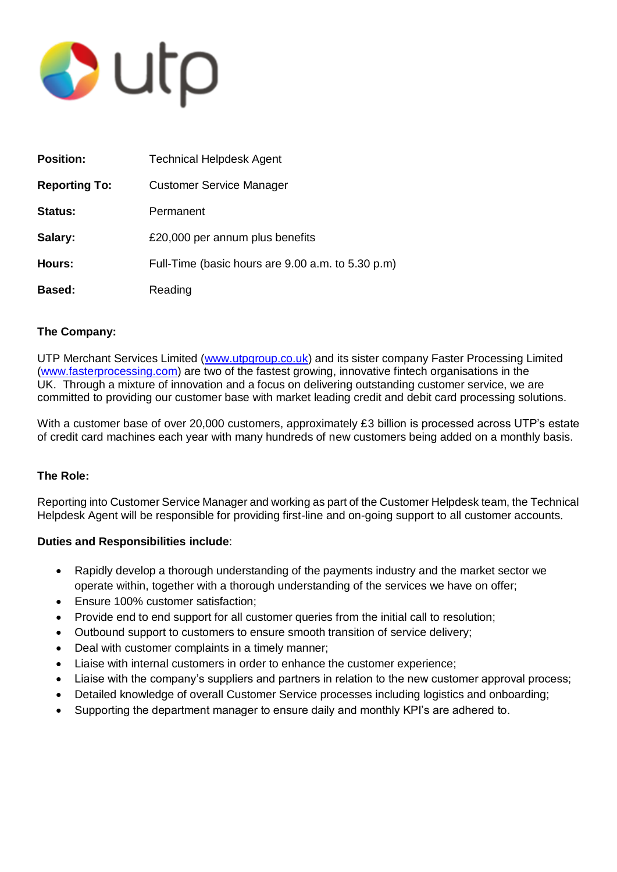

| <b>Position:</b>     | <b>Technical Helpdesk Agent</b>                   |
|----------------------|---------------------------------------------------|
| <b>Reporting To:</b> | <b>Customer Service Manager</b>                   |
| <b>Status:</b>       | Permanent                                         |
| Salary:              | £20,000 per annum plus benefits                   |
| Hours:               | Full-Time (basic hours are 9.00 a.m. to 5.30 p.m) |
| <b>Based:</b>        | Reading                                           |

## **The Company:**

UTP Merchant Services Limited [\(www.utpgroup.co.uk\)](http://www.utpgroup.co.uk/) and its sister company Faster Processing Limited [\(www.fasterprocessing.com\)](http://www.fasterprocessing.com/) are two of the fastest growing, innovative fintech organisations in the UK. Through a mixture of innovation and a focus on delivering outstanding customer service, we are committed to providing our customer base with market leading credit and debit card processing solutions.

With a customer base of over 20,000 customers, approximately £3 billion is processed across UTP's estate of credit card machines each year with many hundreds of new customers being added on a monthly basis.

### **The Role:**

Reporting into Customer Service Manager and working as part of the Customer Helpdesk team, the Technical Helpdesk Agent will be responsible for providing first-line and on-going support to all customer accounts.

### **Duties and Responsibilities include**:

- Rapidly develop a thorough understanding of the payments industry and the market sector we operate within, together with a thorough understanding of the services we have on offer;
- Ensure 100% customer satisfaction;
- Provide end to end support for all customer queries from the initial call to resolution;
- Outbound support to customers to ensure smooth transition of service delivery;
- Deal with customer complaints in a timely manner;
- Liaise with internal customers in order to enhance the customer experience;
- Liaise with the company's suppliers and partners in relation to the new customer approval process;
- Detailed knowledge of overall Customer Service processes including logistics and onboarding;
- Supporting the department manager to ensure daily and monthly KPI's are adhered to.